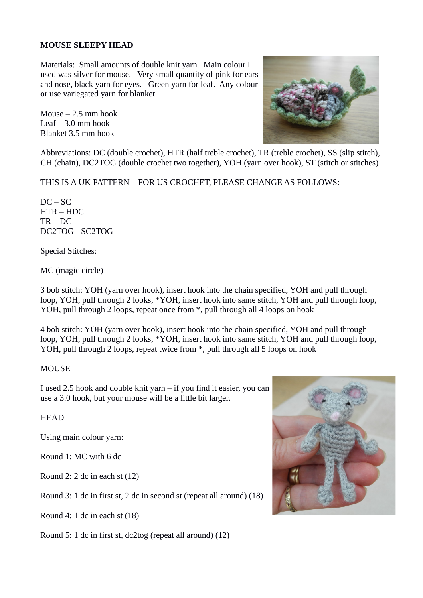### **MOUSE SLEEPY HEAD**

Materials: Small amounts of double knit yarn. Main colour I used was silver for mouse. Very small quantity of pink for ears and nose, black yarn for eyes. Green yarn for leaf. Any colour or use variegated yarn for blanket.

Mouse – 2.5 mm hook Leaf  $-3.0$  mm hook Blanket 3.5 mm hook



Abbreviations: DC (double crochet), HTR (half treble crochet), TR (treble crochet), SS (slip stitch), CH (chain), DC2TOG (double crochet two together), YOH (yarn over hook), ST (stitch or stitches)

THIS IS A UK PATTERN – FOR US CROCHET, PLEASE CHANGE AS FOLLOWS:

 $DC - SC$ HTR – HDC TR – DC DC2TOG - SC2TOG

Special Stitches:

MC (magic circle)

3 bob stitch: YOH (yarn over hook), insert hook into the chain specified, YOH and pull through loop, YOH, pull through 2 looks, \*YOH, insert hook into same stitch, YOH and pull through loop, YOH, pull through 2 loops, repeat once from \*, pull through all 4 loops on hook

4 bob stitch: YOH (yarn over hook), insert hook into the chain specified, YOH and pull through loop, YOH, pull through 2 looks, \*YOH, insert hook into same stitch, YOH and pull through loop, YOH, pull through 2 loops, repeat twice from \*, pull through all 5 loops on hook

MOUSE

I used 2.5 hook and double knit yarn – if you find it easier, you can use a 3.0 hook, but your mouse will be a little bit larger.

**HEAD** 

Using main colour yarn:

Round 1: MC with 6 dc

Round 2: 2 dc in each st (12)

Round 3: 1 dc in first st, 2 dc in second st (repeat all around) (18)

Round 4: 1 dc in each st (18)

Round 5: 1 dc in first st, dc2tog (repeat all around) (12)

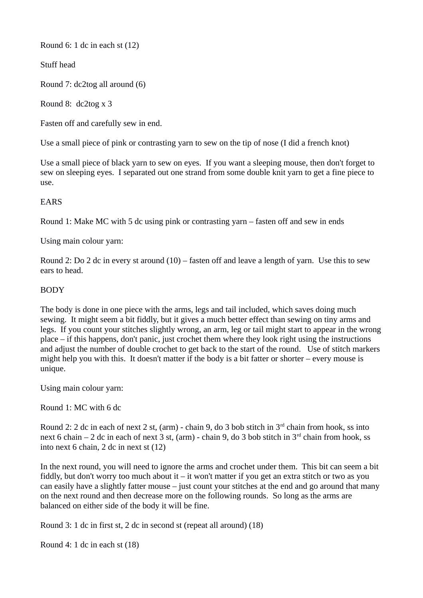Round 6: 1 dc in each st (12)

Stuff head

Round 7: dc2tog all around (6)

Round 8: dc2tog x 3

Fasten off and carefully sew in end.

Use a small piece of pink or contrasting yarn to sew on the tip of nose (I did a french knot)

Use a small piece of black yarn to sew on eyes. If you want a sleeping mouse, then don't forget to sew on sleeping eyes. I separated out one strand from some double knit yarn to get a fine piece to use.

# EARS

Round 1: Make MC with 5 dc using pink or contrasting yarn – fasten off and sew in ends

Using main colour yarn:

Round 2: Do 2 dc in every st around (10) – fasten off and leave a length of yarn. Use this to sew ears to head.

## BODY

The body is done in one piece with the arms, legs and tail included, which saves doing much sewing. It might seem a bit fiddly, but it gives a much better effect than sewing on tiny arms and legs. If you count your stitches slightly wrong, an arm, leg or tail might start to appear in the wrong place – if this happens, don't panic, just crochet them where they look right using the instructions and adjust the number of double crochet to get back to the start of the round. Use of stitch markers might help you with this. It doesn't matter if the body is a bit fatter or shorter – every mouse is unique.

Using main colour yarn:

Round 1: MC with 6 dc

Round 2: 2 dc in each of next 2 st, (arm) - chain 9, do 3 bob stitch in  $3<sup>rd</sup>$  chain from hook, ss into next 6 chain – 2 dc in each of next 3 st, (arm) - chain 9, do 3 bob stitch in  $3<sup>rd</sup>$  chain from hook, ss into next 6 chain, 2 dc in next st (12)

In the next round, you will need to ignore the arms and crochet under them. This bit can seem a bit fiddly, but don't worry too much about it – it won't matter if you get an extra stitch or two as you can easily have a slightly fatter mouse – just count your stitches at the end and go around that many on the next round and then decrease more on the following rounds. So long as the arms are balanced on either side of the body it will be fine.

Round 3: 1 dc in first st, 2 dc in second st (repeat all around) (18)

Round 4: 1 dc in each st (18)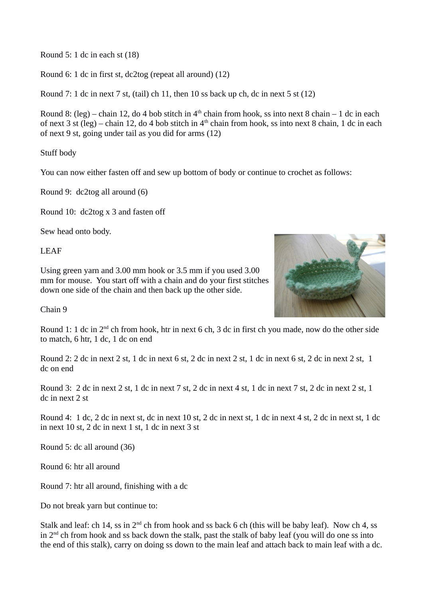Round 5: 1 dc in each st (18)

Round 6: 1 dc in first st, dc2tog (repeat all around) (12)

Round 7: 1 dc in next 7 st, (tail) ch 11, then 10 ss back up ch, dc in next 5 st (12)

Round 8: (leg) – chain 12, do 4 bob stitch in  $4<sup>th</sup>$  chain from hook, ss into next 8 chain – 1 dc in each of next 3 st (leg) – chain 12, do 4 bob stitch in  $4<sup>th</sup>$  chain from hook, ss into next 8 chain, 1 dc in each of next 9 st, going under tail as you did for arms (12)

Stuff body

You can now either fasten off and sew up bottom of body or continue to crochet as follows:

Round 9: dc2tog all around (6)

Round 10: dc2tog x 3 and fasten off

Sew head onto body.

LEAF

Using green yarn and 3.00 mm hook or 3.5 mm if you used 3.00 mm for mouse. You start off with a chain and do your first stitches down one side of the chain and then back up the other side.



Chain 9

Round 1: 1 dc in 2<sup>nd</sup> ch from hook, htr in next 6 ch, 3 dc in first ch you made, now do the other side to match, 6 htr, 1 dc, 1 dc on end

Round 2: 2 dc in next 2 st, 1 dc in next 6 st, 2 dc in next 2 st, 1 dc in next 6 st, 2 dc in next 2 st, 1 dc on end

Round 3: 2 dc in next 2 st, 1 dc in next 7 st, 2 dc in next 4 st, 1 dc in next 7 st, 2 dc in next 2 st, 1 dc in next 2 st

Round 4: 1 dc, 2 dc in next st, dc in next 10 st, 2 dc in next st, 1 dc in next 4 st, 2 dc in next st, 1 dc in next 10 st, 2 dc in next 1 st, 1 dc in next 3 st

Round 5: dc all around (36)

Round 6: htr all around

Round 7: htr all around, finishing with a dc

Do not break yarn but continue to:

Stalk and leaf: ch 14, ss in  $2<sup>nd</sup>$  ch from hook and ss back 6 ch (this will be baby leaf). Now ch 4, ss in  $2<sup>nd</sup>$  ch from hook and ss back down the stalk, past the stalk of baby leaf (you will do one ss into the end of this stalk), carry on doing ss down to the main leaf and attach back to main leaf with a dc.